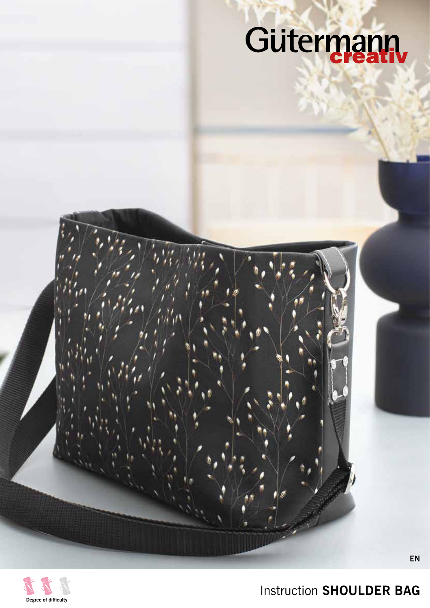# Gütermann,



Instruction **SHOULDER BAG** 

**EN**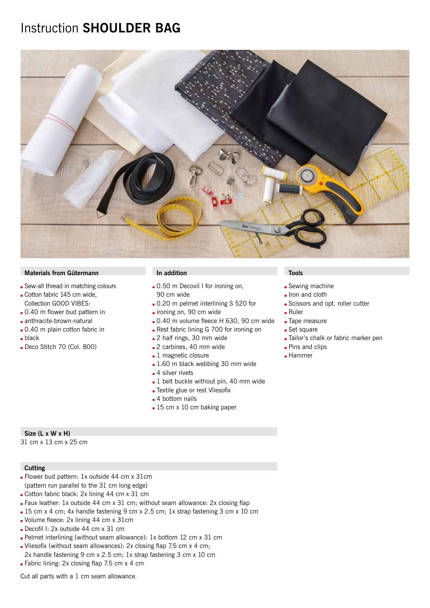# Instruction **SHOULDER BAG**



## **Materials from Gütermann In addition In addition In addition In the Installation In the Installation**

- Sew-all thread in matching colours
- Cotton fabric 145 cm wide, Collection GOOD VIBES:
- **.** 0.40 m flower bud pattern in
- anthracite-brown-natural
- 0.40 m plain cotton fabric in
- $\blacksquare$  black
- Deco Stitch 70 (Col. 800)

- 0.50 m Decovil I for ironing on, 90 cm wide
- $\Box$  0.20 m pelmet interlining S 520 for
- ironing on, 90 cm wide
- $\Box$  0.40 m volume fleece H 630, 90 cm wide
- Rest fabric lining G 700 for ironing on
- 2 half rings, 30 mm wide
- 2 carbines, 40 mm wide
- $\blacksquare$  1 magnetic closure
- $\blacksquare$  1.60 m black webbing 30 mm wide
- $\blacksquare$  4 silver rivets
- $\blacksquare$  1 belt buckle without pin, 40 mm wide
- Textile glue or rest Vliesofix
- $\blacksquare$  4 bottom nails
- $\blacksquare$  15 cm x 10 cm baking paper

- $\blacksquare$  Sewing machine
- $\blacksquare$  Iron and cloth
- G Scissors and opt. roller cutter
- $Ruler$
- **Tape measure**
- $\blacksquare$  Set square
- **Tailor's chalk or fabric marker pen**
- **Pins and clips**
- **Hammer**

### **Size (L x W x H)**

31 cm x 13 cm x 25 cm

### **Cutting**

- Flower bud pattern: 1x outside 44 cm x 31cm (pattern run parallel to the 31 cm long edge)
- Cotton fabric black:  $2x$  lining 44 cm  $x$  31 cm
- **Faux leather: 1x outside 44 cm x 31 cm; without seam allowance: 2x closing flap**
- 15 cm x 4 cm; 4x handle fastening 9 cm x 2.5 cm; 1x strap fastening 3 cm x 10 cm
- **J** Volume fleece: 2x lining 44 cm x 31cm
- Decofil I: 2x outside 44 cm x 31 cm
- Pelmet interlining (without seam allowance): 1x bottom 12 cm x 31 cm
- Vliesofix (without seam allowances): 2x closing flap 7.5 cm  $x$  4 cm;
- 2x handle fastening 9 cm x 2.5 cm; 1x strap fastening 3 cm x 10 cm
- **Fabric lining: 2x closing flap 7.5 cm x 4 cm**

Cut all parts with a 1 cm seam allowance.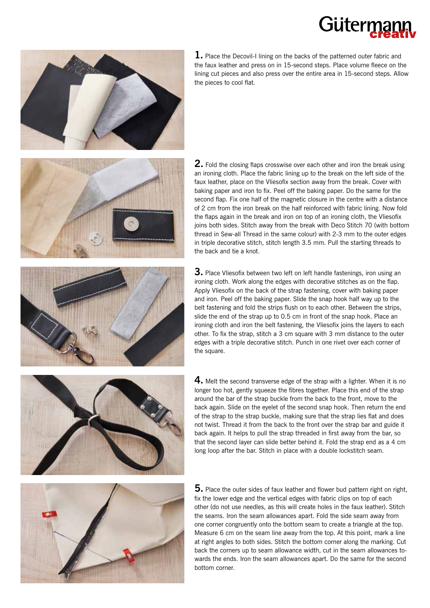# Gütern



**1.** Place the Decovil-I lining on the backs of the patterned outer fabric and the faux leather and press on in 15-second steps. Place volume fleece on the lining cut pieces and also press over the entire area in 15-second steps. Allow the pieces to cool flat.





**2.** Fold the closing flaps crosswise over each other and iron the break using an ironing cloth. Place the fabric lining up to the break on the left side of the faux leather, place on the Vliesofix section away from the break. Cover with baking paper and iron to fix. Peel off the baking paper. Do the same for the second flap. Fix one half of the magnetic closure in the centre with a distance of 2 cm from the iron break on the half reinforced with fabric lining. Now fold the flaps again in the break and iron on top of an ironing cloth, the Vliesofix joins both sides. Stitch away from the break with Deco Stitch 70 (with bottom thread in Sew-all Thread in the same colour) with 2-3 mm to the outer edges in triple decorative stitch, stitch length 3.5 mm. Pull the starting threads to the back and tie a knot.

**3.** Place Vliesofix between two left on left handle fastenings, iron using an ironing cloth. Work along the edges with decorative stitches as on the flap. Apply Vliesofix on the back of the strap fastening, cover with baking paper and iron. Peel off the baking paper. Slide the snap hook half way up to the belt fastening and fold the strips flush on to each other. Between the strips, slide the end of the strap up to 0.5 cm in front of the snap hook. Place an ironing cloth and iron the belt fastening, the Vliesofix joins the layers to each other. To fix the strap, stitch a 3 cm square with 3 mm distance to the outer edges with a triple decorative stitch. Punch in one rivet over each corner of the square.

**4.** Melt the second transverse edge of the strap with a lighter. When it is no longer too hot, gently squeeze the fibres together. Place this end of the strap around the bar of the strap buckle from the back to the front, move to the back again. Slide on the eyelet of the second snap hook. Then return the end of the strap to the strap buckle, making sure that the strap lies flat and does not twist. Thread it from the back to the front over the strap bar and guide it back again. It helps to pull the strap threaded in first away from the bar, so that the second layer can slide better behind it. Fold the strap end as a 4 cm long loop after the bar. Stitch in place with a double lockstitch seam.



**5.** Place the outer sides of faux leather and flower bud pattern right on right, fix the lower edge and the vertical edges with fabric clips on top of each other (do not use needles, as this will create holes in the faux leather). Stitch the seams. Iron the seam allowances apart. Fold the side seam away from one corner congruently onto the bottom seam to create a triangle at the top. Measure 6 cm on the seam line away from the top. At this point, mark a line at right angles to both sides. Stitch the bottom corner along the marking. Cut back the corners up to seam allowance width, cut in the seam allowances towards the ends. Iron the seam allowances apart. Do the same for the second bottom corner.